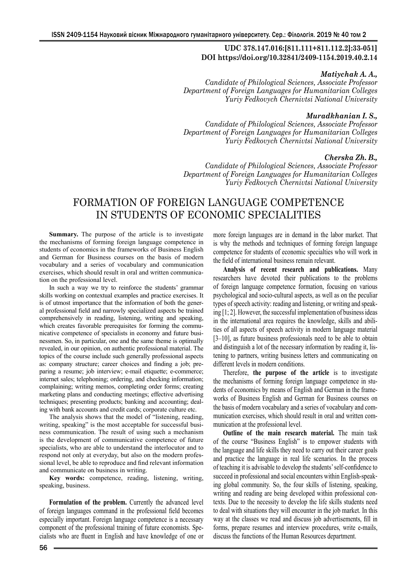# **UDC 378.147.016:[811.111+811.112.2]:33-051] DOI https://doi.org/10.32841/2409-1154.2019.40.2.14**

## *Matiychak A. A.,*

*Candidate of Philological Sciences, Associate Professor Department of Foreign Languages for Humanitarian Colleges Yuriy Fedkovych Chernivtsi National University*

### *Muradkhanian I. S.,*

*Candidate of Philological Sciences, Associate Professor Department of Foreign Languages for Humanitarian Colleges Yuriy Fedkovych Chernivtsi National University*

# *Cherska Zh. B.,*

*Candidate of Philological Sciences, Associate Professor Department of Foreign Languages for Humanitarian Colleges Yuriy Fedkovych Chernivtsi National University*

# FORMATION OF FOREIGN LANGUAGE COMPETENCE IN STUDENTS OF ECONOMIC SPECIALITIES

**Summary.** The purpose of the article is to investigate the mechanisms of forming foreign language competence in students of economics in the frameworks of Business English and German for Business courses on the basis of modern vocabulary and a series of vocabulary and communication exercises, which should result in oral and written communication on the professional level.

In such a way we try to reinforce the students' grammar skills working on contextual examples and practice exercises. It is of utmost importance that the information of both the general professional field and narrowly specialized aspects be trained comprehensively in reading, listening, writing and speaking, which creates favorable prerequisites for forming the communicative competence of specialists in economy and future businessmen. So, in particular, one and the same theme is optimally revealed, in our opinion, on authentic professional material. The topics of the course include such generally professional aspects as: company structure; career choices and finding a job; preparing a resume; job interview; e-mail etiquette; e-commerce; internet sales; telephoning; ordering, and checking information; complaining; writing memos, completing order forms; creating marketing plans and conducting meetings; effective advertising techniques; presenting products; banking and accounting; dealing with bank accounts and credit cards; corporate culture etc.

The analysis shows that the model of "listening, reading, writing, speaking" is the most acceptable for successful business communication. The result of using such a mechanism is the development of communicative competence of future specialists, who are able to understand the interlocutor and to respond not only at everyday, but also on the modern professional level, be able to reproduce and find relevant information and communicate on business in writing.

**Key words:** competence, reading, listening, writing, speaking, business.

**Formulation of the problem.** Currently the advanced level of foreign languages command in the professional field becomes especially important. Foreign language competence is a necessary component of the professional training of future economists. Specialists who are fluent in English and have knowledge of one or more foreign languages are in demand in the labor market. That is why the methods and techniques of forming foreign language competence for students of economic specialties who will work in the field of international business remain relevant.

**Analysis of recent research and publications.** Many researchers have devoted their publications to the problems of foreign language competence formation, focusing on various psychological and socio-cultural aspects, as well as on the peculiar types of speech activity: reading and listening, or writing and speaking [1; 2]. However, the successful implementation of business ideas in the international area requires the knowledge, skills and abilities of all aspects of speech activity in modern language material [3–10], as future business professionals need to be able to obtain and distinguish a lot of the necessary information by reading it, listening to partners, writing business letters and communicating on different levels in modern conditions.

Therefore, **the purpose of the article** is to investigate the mechanisms of forming foreign language competence in students of economics by means of English and German in the frameworks of Business English and German for Business courses on the basis of modern vocabulary and a series of vocabulary and communication exercises, which should result in oral and written communication at the professional level.

**Outline of the main research material.** The main task of the course "Business English" is to empower students with the language and life skills they need to carry out their career goals and practice the language in real life scenarios. In the process of teaching it is advisable to develop the students' self-confidence to succeed in professional and social encounters within English-speaking global community. So, the four skills of listening, speaking, writing and reading are being developed within professional contexts. Due to the necessity to develop the life skills students need to deal with situations they will encounter in the job market. In this way at the classes we read and discuss job advertisements, fill in forms, prepare resumes and interview procedures, write e-mails, discuss the functions of the Human Resources department.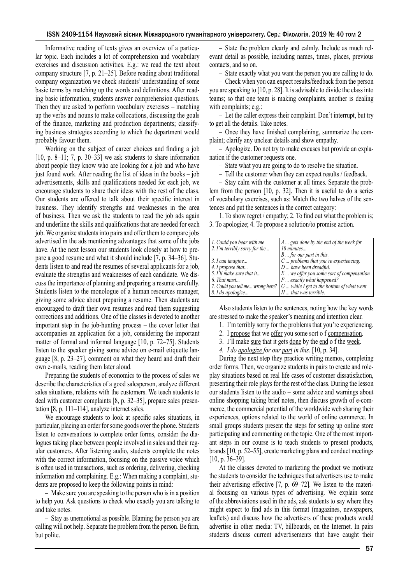Informative reading of texts gives an overview of a particular topic. Each includes a lot of comprehension and vocabulary exercises and discussion activities. E.g.: we read the text about company structure [7, p. 21–25]. Before reading about traditional company organization we check students' understanding of some basic terms by matching up the words and definitions. After reading basic information, students answer comprehension questions. Then they are asked to perform vocabulary exercises – matching up the verbs and nouns to make collocations, discussing the goals of the finance, marketing and production departments; classifying business strategies according to which the department would probably favour them.

Working on the subject of career choices and finding a job [10, p. 8–11; 7, p. 30–33] we ask students to share information about people they know who are looking for a job and who have just found work. After reading the list of ideas in the books – job advertisements, skills and qualifications needed for each job, we encourage students to share their ideas with the rest of the class. Our students are offered to talk about their specific interest in business. They identify strengths and weaknesses in the area of business. Then we ask the students to read the job ads again and underline the skills and qualifications that are needed for each job. We organize students into pairs and offer them to compare jobs advertised in the ads mentioning advantages that some of the jobs have. At the next lesson our students look closely at how to prepare a good resume and what it should include [7, p. 34–36]. Students listen to and read the resumes of several applicants for a job, evaluate the strengths and weaknesses of each candidate. We discuss the importance of planning and preparing a resume carefully. Students listen to the monologue of a human resources manager, giving some advice about preparing a resume. Then students are encouraged to draft their own resumes and read them suggesting corrections and additions. One of the classes is devoted to another important step in the job-hunting process – the cover letter that accompanies an application for a job, considering the important matter of formal and informal language [10, p. 72–75]. Students listen to the speaker giving some advice on e-mail etiquette language [8, p. 23–27], comment on what they heard and draft their own e-mails, reading them later aloud.

Preparing the students of economics to the process of sales we describe the characteristics of a good salesperson, analyze different sales situations, relations with the customers. We teach students to deal with customer complaints [8, p. 32–35], prepare sales presentation [8, p. 111–114], analyze internet sales.

We encourage students to look at specific sales situations, in particular, placing an order for some goods over the phone. Students listen to conversations to complete order forms, consider the dialogues taking place between people involved in sales and their regular customers. After listening audio, students complete the notes with the correct information, focusing on the passive voice which is often used in transactions, such as ordering, delivering, checking information and complaining. E.g.: When making a complaint, students are proposed to keep the following points in mind:

– Make sure you are speaking to the person who is in a position to help you. Ask questions to check who exactly you are talking to and take notes.

– Stay as unemotional as possible. Blaming the person you are calling will not help. Separate the problem from the person. Be firm, but polite.

– State the problem clearly and calmly. Include as much relevant detail as possible, including names, times, places, previous contacts, and so on.

– State exactly what you want the person you are calling to do.

– Check when you can expect results/feedback from the person you are speaking to [10, p. 28]. It is advisable to divide the class into teams; so that one team is making complaints, another is dealing with complaints; e.g.:

– Let the caller express their complaint. Don't interrupt, but try to get all the details. Take notes.

– Once they have finished complaining, summarize the complaint; clarify any unclear details and show empathy.

– Apologize. Do not try to make excuses but provide an explanation if the customer requests one.

– State what you are going to do to resolve the situation.

– Tell the customer when they can expect results / feedback.

– Stay calm with the customer at all times. Separate the problem from the person [10, p. 32]. Then it is useful to do a series of vocabulary exercises, such as: Match the two halves of the sentences and put the sentences in the correct category:

1. To show regret / empathy; 2. To find out what the problem is; 3. To apologize; 4. To propose a solution/to promise action.

| 1. Could you bear with me        | A  gets done by the end of the week for           |
|----------------------------------|---------------------------------------------------|
| 2. I'm terribly sorry for the    | 10 minutes                                        |
|                                  | $B \dots$ for our part in this.                   |
| 3. I can imagine                 | $C \ldots$ problems that you're experiencing.     |
| 4. I propose that                | D  have been dreadful.                            |
| 5. I'll make sure that it        | $E$ we offer you some sort of compensation        |
| 6. That must                     | F  exactly what happened?                         |
| 7. Could you tell me wrong here? | $G \ldots$ while I get to the bottom of what went |
| 8. I do apologize                | H  that was terrible.                             |

Also students listen to the sentences, noting how the key words are stressed to make the speaker's meaning and intention clear.

- 1. I'm terribly sorry for the problems that you're experiencing.
- 2. I propose that we offer you some sort o f compensation.
- 3. I'll make sure that it gets done by the end o f the week.
- *4. I do apologize for our part in this.* [10, р. 34].

During the next step they practice writing memos, completing order forms. Then, we organize students in pairs to create and roleplay situations based on real life cases of customer dissatisfaction, presenting their role plays for the rest of the class. During the lesson our students listen to the audio – some advice and warnings about online shopping taking brief notes, then discuss growth of e-commerce, the commercial potential of the worldwide web sharing their experiences, options related to the world of online commerce. In small groups students present the steps for setting up online store participating and commenting on the topic. One of the most important steps in our course is to teach students to present products, brands [10, p. 52–55], create marketing plans and conduct meetings [10, p. 36–39].

At the classes devoted to marketing the product we motivate the students to consider the techniques that advertisers use to make their advertising effective [7, p. 69–72]. We listen to the material focusing on various types of advertising. We explain some of the abbreviations used in the ads, ask students to say where they might expect to find ads in this format (magazines, newspapers, leaflets) and discuss how the advertisers of these products would advertise in other media: TV, billboards, on the Internet. In pairs students discuss current advertisements that have caught their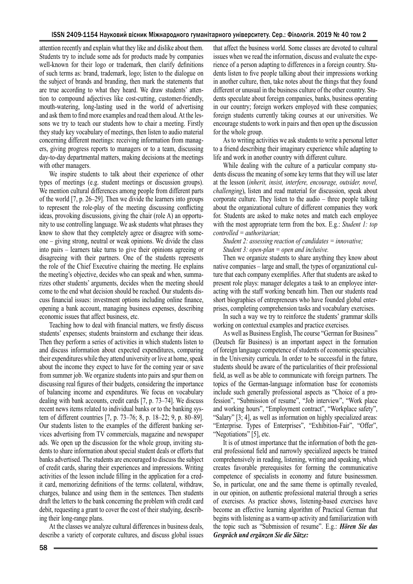attention recently and explain what they like and dislike about them. Students try to include some ads for products made by companies well-known for their logo or trademark, then clarify definitions of such terms as: brand, trademark, logo; listen to the dialogue on the subject of brands and branding, then mark the statements that are true according to what they heard. We draw students' attention to compound adjectives like cost-cutting, customer-friendly, mouth-watering, long-lasting used in the world of advertising and ask them to find more examples and read them aloud. At the lessons we try to teach our students how to chair a meeting. Firstly they study key vocabulary of meetings, then listen to audio material concerning different meetings: receiving information from managers, giving progress reports to managers or to a team, discussing day-to-day departmental matters, making decisions at the meetings with other managers.

We inspire students to talk about their experience of other types of meetings (e.g. student meetings or discussion groups). We mention cultural differences among people from different parts of the world [7, p. 26–29]. Then we divide the learners into groups to represent the role-play of the meeting discussing conflicting ideas, provoking discussions, giving the chair (role A) an opportunity to use controlling language. We ask students what phrases they know to show that they completely agree or disagree with someone – giving strong, neutral or weak opinions. We divide the class into pairs – learners take turns to give their opinions agreeing or disagreeing with their partners. One of the students represents the role of the Chief Executive chairing the meeting. He explains the meeting's objective, decides who can speak and when, summarizes other students' arguments, decides when the meeting should come to the end what decision should be reached. Our students discuss financial issues: investment options including online finance, opening a bank account, managing business expenses, describing economic issues that affect business, etc.

Teaching how to deal with financial matters, we firstly discuss students' expenses; students brainstorm and exchange their ideas. Then they perform a series of activities in which students listen to and discuss information about expected expenditures, comparing their expenditures while they attend university or live at home, speak about the income they expect to have for the coming year or save from summer job. We organize students into pairs and spur them on discussing real figures of their budgets, considering the importance of balancing income and expenditures. We focus on vocabulary dealing with bank accounts, credit cards [7, p. 73–74]. We discuss recent news items related to individual banks or to the banking system of different countries [7, p. 73–76; 8, p. 18–22; 9, p. 80–89]. Our students listen to the examples of the different banking services advertising from TV commercials, magazine and newspaper ads. We open up the discussion for the whole group, inviting students to share information about special student deals or efforts that banks advertised. The students are encouraged to discuss the subject of credit cards, sharing their experiences and impressions. Writing activities of the lesson include filling in the application for a credit card, memorizing definitions of the terms: collateral, withdraw, charges, balance and using them in the sentences. Then students draft the letters to the bank concerning the problem with credit card debit, requesting a grant to cover the cost of their studying, describing their long-range plans.

At the classes we analyze cultural differences in business deals, describe a variety of corporate cultures, and discuss global issues that affect the business world. Some classes are devoted to cultural issues when we read the information, discuss and evaluate the experience of a person adapting to differences in a foreign country. Students listen to five people talking about their impressions working in another culture, then, take notes about the things that they found different or unusual in the business culture of the other country. Students speculate about foreign companies, banks, business operating in our country; foreign workers employed with these companies; foreign students currently taking courses at our universities. We encourage students to work in pairs and then open up the discussion for the whole group.

As to writing activities we ask students to write a personal letter to a friend describing their imaginary experience while adapting to life and work in another country with different culture.

While dealing with the culture of a particular company students discuss the meaning of some key terms that they will use later at the lesson (*inherit, insist, interfere, encourage, outsider, novel, challenging*), listen and read material for discussion, speak about corporate culture. They listen to the audio – three people talking about the organizational culture of different companies they work for. Students are asked to make notes and match each employee with the most appropriate term from the box. E.g.: *Student 1: top controlled = authoritarian;*

*Student 2: assessing reaction of candidates = innovative; Student 3: open-plan = open and inclusive.*

Then we organize students to share anything they know about native companies – large and small, the types of organizational culture that each company exemplifies. After that students are asked to present role plays: manager delegates a task to an employee interacting with the staff working beneath him. Then our students read short biographies of entrepreneurs who have founded global enterprises, completing comprehension tasks and vocabulary exercises.

In such a way we try to reinforce the students' grammar skills working on contextual examples and practice exercises.

As well as Business English, The course "German for Business" (Deutsch für Business) is an important aspect in the formation of foreign language competence of students of economic specialties in the University curricula. In order to be successful in the future, students should be aware of the particularities of their professional field, as well as be able to communicate with foreign partners. The topics of the German-language information base for economists include such generally professional aspects as "Choice of a profession", "Submission of resume", "Job interview", "Work place and working hours", "Employment contract", "Workplace safety", "Salary" [3; 4], as well as information on highly specialized areas: "Enterprise. Types of Enterprises", "Exhibition-Fair", "Offer", "Negotiations" [5], etc.

It is of utmost importance that the information of both the general professional field and narrowly specialized aspects be trained comprehensively in reading, listening, writing and speaking, which creates favorable prerequisites for forming the communicative competence of specialists in economy and future businessmen. So, in particular, one and the same theme is optimally revealed, in our opinion, on authentic professional material through a series of exercises. As practice shows, listening-based exercises have become an effective learning algorithm of Practical German that begins with listening as a warm-up activity and familiarization with the topic such as "Submission of resume". E.g.: *Hören Sie das Gespräch und ergänzen Sie die Sätze:*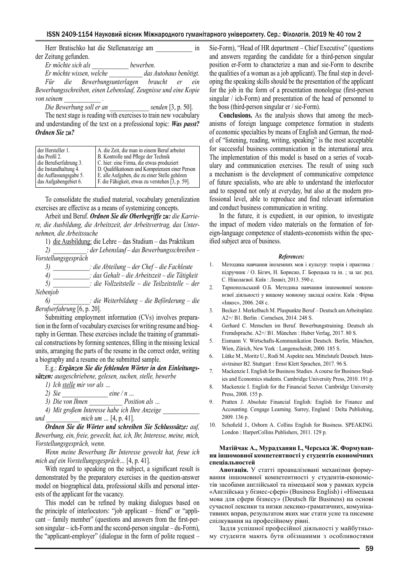| Herr Bratischko hat die Stellenanzeige am | m                      |
|-------------------------------------------|------------------------|
| der Zeitung gefunden.                     |                        |
| Er möchte sich als                        | <i>hewerhen.</i>       |
| Er möchte wissen, welche                  | das Autohaus benötigt. |

*Für die Bewerbungsunterlagen braucht er ein Bewerbungsschreiben, einen Lebenslauf, Zeugnisse und eine Kopie von seinem \_\_\_\_\_\_\_\_\_\_\_\_ .*

*Die Bewerbung soll er an \_\_\_\_\_\_\_\_\_\_\_\_\_ senden* [3, p. 50].

The next stage is reading with exercises to train new vocabulary and understanding of the text on a professional topic: *Was passt? Ordnen Sie zu?*

| der Hersteller 1.      | A. die Zeit, die man in einem Beruf arbeitet     |
|------------------------|--------------------------------------------------|
| das Profil 2.          | B. Kontrolle und Pflege der Technik              |
| die Berufserfahrung 3. | C. hier: eine Firma, die etwas produziert        |
| die Instandhaltung 4.  | D. Qualifikationen und Kompetenzen einer Person  |
| die Auffassungsgabe 5. | E. alle Aufgaben, die zu einer Stelle gehören    |
| das Aufgabengebiet 6.  | F. die Fähigkeit, etwas zu verstehen [3, p. 59]. |

To consolidate the studied material, vocabulary generalization exercises are effective as a means of systemizing concepts.

Arbeit und Beruf. *Ordnen Sie die Oberbegriffe zu: die Karriere, die Ausbildung, die Arbeitszeit, der Arbeitsvertrag, das Unternehmen, die Arbeitssuche*

1) die Ausbildung: die Lehre – das Studium – das Praktikum

- *2) \_\_\_\_\_\_\_\_\_\_\_: der Lebenslauf das Bewerbungsschreiben Vorstellungsgespräch*
	- *3) \_\_\_\_\_\_\_\_\_\_\_\_: die Abteilung der Chef die Fachleute*

*4) \_\_\_\_\_\_\_\_\_\_\_\_: das Gehalt – die Arbeitszeit – die Tätigkeit*

*5) \_\_\_\_\_\_\_\_\_\_\_\_: die Vollzeitstelle – die Teilzeitstelle – der Nebenjob*

*6) \_\_\_\_\_\_\_\_\_\_\_\_: die Weiterbildung – die Beförderung – die Berufserfahrung* [6, p. 20].

Submitting employment information (CVs) involves preparation in the form of vocabulary exercises for writing resume and biography in German. These exercises include the training of grammatical constructions by forming sentences, filling in the missing lexical units, arranging the parts of the resume in the correct order, writing a biography and a resume on the submitted sample.

E.g.: *Ergänzen Sie die fehlenden Wörter in den Einleitungssätzen: ausgeschriebene, gelesen, suchen, stelle, bewerbe*

*1) Ich stelle mir vor als …*

- *2) Sie \_\_\_\_\_\_\_\_\_\_\_\_\_\_\_ eine / n …*
- *3) Die von Ihnen \_\_\_\_\_\_\_\_\_\_\_ Position als …*
- *4) Mit großem Interesse habe ich Ihre Anzeige \_\_\_\_\_\_\_\_\_\_\_\_*

*und \_\_\_\_\_\_\_\_\_\_\_ mich um …* [4, p. 41].

*Ordnen Sie die Wörter und schreiben Sie Schlusssätze: auf, Bewerbung, ein, freie, geweckt, hat, ich, Ihr, Interesse, meine, mich, Vorstellungsgespräch, wenn.*

*Wenn meine Bewerbung Ihr Interesse geweckt hat, freue ich mich auf ein Vorstellungsgespräch…* [4, p. 41].

With regard to speaking on the subject, a significant result is demonstrated by the preparatory exercises in the question-answer model on biographical data, professional skills and personal interests of the applicant for the vacancy.

This model can be refined by making dialogues based on the principle of interlocutors: "job applicant – friend" or "applicant – family member" (questions and answers from the first-person singular – ich-Form and the second-person singular – du-Form), the "applicant-employer" (dialogue in the form of polite request – Sie-Form), "Head of HR department – Chief Executive" (questions and answers regarding the candidate for a third-person singular position er-Form to characterize a man and sie-Form to describe the qualities of a woman as a job applicant). The final step in developing the speaking skills should be the presentation of the applicant for the job in the form of a presentation monologue (first-person singular / ich-Form) and presentation of the head of personnel to the boss (third-person singular er / sie-Form).

**Conclusions.** As the analysis shows that among the mechanisms of foreign language competence formation in students of economic specialties by means of English and German, the model of "listening, reading, writing, speaking" is the most acceptable for successful business communication in the international area. The implementation of this model is based on a series of vocabulary and communication exercises. The result of using such a mechanism is the development of communicative competence of future specialists, who are able to understand the interlocutor and to respond not only at everyday, but also at the modern professional level, able to reproduce and find relevant information and conduct business communication in writing.

In the future, it is expedient, in our opinion, to investigate the impact of modern video materials on the formation of foreign-language competence of students-economists within the specified subject area of business.

#### *References:*

- 1. Методика навчання іноземних мов і культур: теорія і практика : підручник / O. Бігич, Н. Бориско, Г. Борецька та ін. ; за заг. ред. С. Ніколаєвої. Київ : Ленвіт, 2013. 590 с.
- 2. Тарнопольський О.Б. Методика навчання іншомовної мовленнєвої діяльності у вищому мовному закладі освіти. Київ : Фірма «Інкос», 2006. 248 с.
- 3. Becker J. Merkelbach M. Pluspunkte Beruf Deutsch am Arbeitsplatz. A2+/ B1. Berlin : Cornelsen, 2014. 248 S.
- 4. Gerhard C. Menschen im Beruf. Bewerbungstraining. Deutsch als Fremdsprache. A2+/ B1. München : Huber Verlag, 2017. 80 S.
- 5. Eismann V. Wirtschafts-Kommunikation Deutsch. Berlin, München, Wien, Zürich, New York : Langenscheidt, 2000. 185 S.
- 6. Lütke M., Moritz U., Rodi M. Aspekte neu. Mittelstufe Deutsch. Intensivtrainer B2. Stuttgart : Ernst Klett Sprachen, 2017. 96 S.
- 7. Mackenzie I. English for Business Studies. A course for Business Studies and Economics students. Cambridge University Press, 2010. 191 p.
- 8. Mackenzie I. English for the Financial Sector. Cambridge University Press, 2008. 155 p.
- 9. Pratten J. Absolute Financial English: English for Finance and Accounting. Cengage Learning. Surrey, England : Delta Publishing, 2009. 136 p.
- 10. Schofield J., Osborn A. Collins English for Business. SPEAKING. London : HarperCollins Publishers, 2011, 129 p.

#### **Матійчак А., Мурадханян І., Черська Ж. Формування іншомовної компетентності у студентів економічних спеціальностей**

**Анотація.** У статті проаналізовані механізми формування іншомовної компетентності у студентів-економістів засобами англійської та німецької мов у рамках курсів «Англійська у бізнес-сфері» (Business English) і «Німецька мова для сфери бізнесу» (Deutsch für Business) на основі сучасної лексики та низки лексико-граматичних, комунікативних вправ, результатом яких має стати усне та писемне спілкування на професійному рівні.

Задля успішної професійної діяльності у майбутньому студенти мають бути обізнаними з особливостями